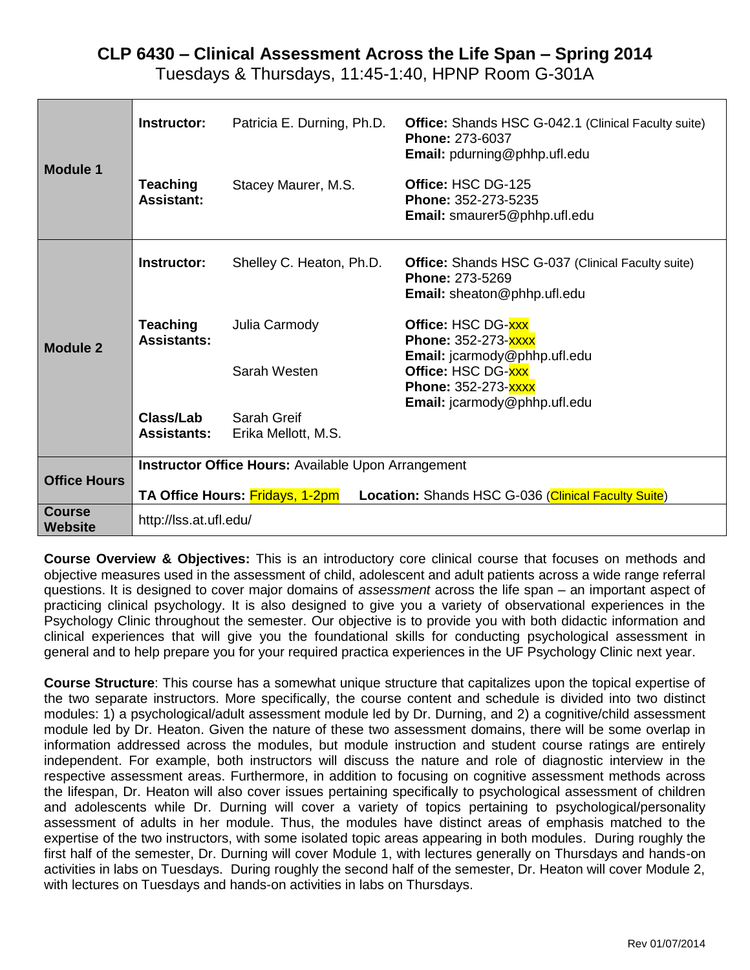# **CLP 6430 – Clinical Assessment Across the Life Span – Spring 2014**

Tuesdays & Thursdays, 11:45-1:40, HPNP Room G-301A

| <b>Module 1</b>     | Instructor:                                                                            | Patricia E. Durning, Ph.D.                                 | <b>Office:</b> Shands HSC G-042.1 (Clinical Faculty suite)<br><b>Phone: 273-6037</b><br>Email: pdurning@phhp.ufl.edu |  |  |  |  |  |  |  |
|---------------------|----------------------------------------------------------------------------------------|------------------------------------------------------------|----------------------------------------------------------------------------------------------------------------------|--|--|--|--|--|--|--|
|                     | <b>Teaching</b><br><b>Assistant:</b>                                                   | Stacey Maurer, M.S.                                        | Office: HSC DG-125<br>Phone: 352-273-5235<br>Email: smaurer5@phhp.ufl.edu                                            |  |  |  |  |  |  |  |
|                     | Instructor:                                                                            | Shelley C. Heaton, Ph.D.                                   | <b>Office:</b> Shands HSC G-037 (Clinical Faculty suite)<br><b>Phone: 273-5269</b><br>Email: sheaton@phhp.ufl.edu    |  |  |  |  |  |  |  |
| <b>Module 2</b>     | <b>Teaching</b><br><b>Assistants:</b>                                                  | Julia Carmody                                              | Office: HSC DG-XXX<br>Phone: 352-273-XXXX<br>Email: jcarmody@phhp.ufl.edu                                            |  |  |  |  |  |  |  |
|                     |                                                                                        | Sarah Westen                                               | Office: HSC DG-XXX<br>Phone: 352-273-XXXX<br>Email: jcarmody@phhp.ufl.edu                                            |  |  |  |  |  |  |  |
|                     | Class/Lab<br><b>Assistants:</b>                                                        | Sarah Greif<br>Erika Mellott, M.S.                         |                                                                                                                      |  |  |  |  |  |  |  |
| <b>Office Hours</b> |                                                                                        | <b>Instructor Office Hours: Available Upon Arrangement</b> |                                                                                                                      |  |  |  |  |  |  |  |
|                     | TA Office Hours: Fridays, 1-2pm<br>Location: Shands HSC G-036 (Clinical Faculty Suite) |                                                            |                                                                                                                      |  |  |  |  |  |  |  |
| Course<br>Website   | http://lss.at.ufl.edu/                                                                 |                                                            |                                                                                                                      |  |  |  |  |  |  |  |

**Course Overview & Objectives:** This is an introductory core clinical course that focuses on methods and objective measures used in the assessment of child, adolescent and adult patients across a wide range referral questions. It is designed to cover major domains of *assessment* across the life span – an important aspect of practicing clinical psychology. It is also designed to give you a variety of observational experiences in the Psychology Clinic throughout the semester. Our objective is to provide you with both didactic information and clinical experiences that will give you the foundational skills for conducting psychological assessment in general and to help prepare you for your required practica experiences in the UF Psychology Clinic next year.

**Course Structure**: This course has a somewhat unique structure that capitalizes upon the topical expertise of the two separate instructors. More specifically, the course content and schedule is divided into two distinct modules: 1) a psychological/adult assessment module led by Dr. Durning, and 2) a cognitive/child assessment module led by Dr. Heaton. Given the nature of these two assessment domains, there will be some overlap in information addressed across the modules, but module instruction and student course ratings are entirely independent. For example, both instructors will discuss the nature and role of diagnostic interview in the respective assessment areas. Furthermore, in addition to focusing on cognitive assessment methods across the lifespan, Dr. Heaton will also cover issues pertaining specifically to psychological assessment of children and adolescents while Dr. Durning will cover a variety of topics pertaining to psychological/personality assessment of adults in her module. Thus, the modules have distinct areas of emphasis matched to the expertise of the two instructors, with some isolated topic areas appearing in both modules. During roughly the first half of the semester, Dr. Durning will cover Module 1, with lectures generally on Thursdays and hands-on activities in labs on Tuesdays. During roughly the second half of the semester, Dr. Heaton will cover Module 2, with lectures on Tuesdays and hands-on activities in labs on Thursdays.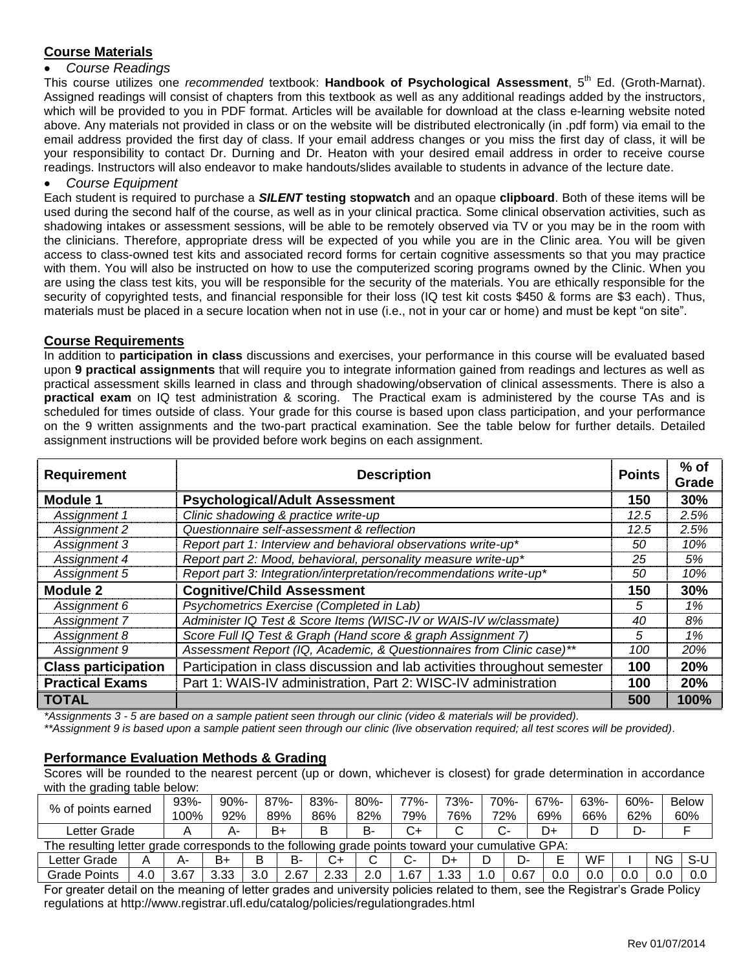## **Course Materials**

## *Course Readings*

This course utilizes one *recommended* textbook: **Handbook of Psychological Assessment**, 5th Ed. (Groth-Marnat). Assigned readings will consist of chapters from this textbook as well as any additional readings added by the instructors, which will be provided to you in PDF format. Articles will be available for download at the class e-learning website noted above. Any materials not provided in class or on the website will be distributed electronically (in .pdf form) via email to the email address provided the first day of class. If your email address changes or you miss the first day of class, it will be your responsibility to contact Dr. Durning and Dr. Heaton with your desired email address in order to receive course readings. Instructors will also endeavor to make handouts/slides available to students in advance of the lecture date.

#### *Course Equipment*

Each student is required to purchase a *SILENT* **testing stopwatch** and an opaque **clipboard**. Both of these items will be used during the second half of the course, as well as in your clinical practica. Some clinical observation activities, such as shadowing intakes or assessment sessions, will be able to be remotely observed via TV or you may be in the room with the clinicians. Therefore, appropriate dress will be expected of you while you are in the Clinic area. You will be given access to class-owned test kits and associated record forms for certain cognitive assessments so that you may practice with them. You will also be instructed on how to use the computerized scoring programs owned by the Clinic. When you are using the class test kits, you will be responsible for the security of the materials. You are ethically responsible for the security of copyrighted tests, and financial responsible for their loss (IQ test kit costs \$450 & forms are \$3 each). Thus, materials must be placed in a secure location when not in use (i.e., not in your car or home) and must be kept "on site".

## **Course Requirements**

In addition to **participation in class** discussions and exercises, your performance in this course will be evaluated based upon **9 practical assignments** that will require you to integrate information gained from readings and lectures as well as practical assessment skills learned in class and through shadowing/observation of clinical assessments. There is also a **practical exam** on IQ test administration & scoring. The Practical exam is administered by the course TAs and is scheduled for times outside of class. Your grade for this course is based upon class participation, and your performance on the 9 written assignments and the two-part practical examination. See the table below for further details. Detailed assignment instructions will be provided before work begins on each assignment.

| <b>Requirement</b>         | <b>Points</b>                                                            | $%$ of<br>Grade |      |
|----------------------------|--------------------------------------------------------------------------|-----------------|------|
| <b>Module 1</b>            | <b>Psychological/Adult Assessment</b>                                    | 150             | 30%  |
| Assignment 1               | Clinic shadowing & practice write-up                                     | 12.5            | 2.5% |
| Assignment 2               | Questionnaire self-assessment & reflection                               | 12.5            | 2.5% |
| Assignment 3               | Report part 1: Interview and behavioral observations write-up*           | 50              | 10%  |
| Assignment 4               | Report part 2: Mood, behavioral, personality measure write-up*           | 25              | 5%   |
| Assignment 5               | Report part 3: Integration/interpretation/recommendations write-up*      | 50              | 10%  |
| Module 2                   | <b>Cognitive/Child Assessment</b>                                        | 150             | 30%  |
| Assignment 6               | Psychometrics Exercise (Completed in Lab)                                | 5               | 1%   |
| Assignment 7               | Administer IQ Test & Score Items (WISC-IV or WAIS-IV w/classmate)        | 40              | 8%   |
| Assignment 8               | Score Full IQ Test & Graph (Hand score & graph Assignment 7)             | 5               | 1%   |
| Assignment 9               | Assessment Report (IQ, Academic, & Questionnaires from Clinic case)**    | 100             | 20%  |
| <b>Class participation</b> | Participation in class discussion and lab activities throughout semester | 100             | 20%  |
| <b>Practical Exams</b>     | Part 1: WAIS-IV administration, Part 2: WISC-IV administration           | 100             | 20%  |
| <b>TOTAL</b>               |                                                                          | 500             | 100% |

*\*Assignments 3 - 5 are based on a sample patient seen through our clinic (video & materials will be provided).*

*\*\*Assignment 9 is based upon a sample patient seen through our clinic (live observation required; all test scores will be provided).*

## **Performance Evaluation Methods & Grading**

Scores will be rounded to the nearest percent (up or down, whichever is closest) for grade determination in accordance with the grading table below:

| % of points earned                                                                               |     | $93% -$ | $90% -$ |     | $87% -$ | $83% -$ | $80% -$ | 77%- | 73%-   | 70%- |      | $67% -$ | 63%- | $60% -$ |     | <b>Below</b> |
|--------------------------------------------------------------------------------------------------|-----|---------|---------|-----|---------|---------|---------|------|--------|------|------|---------|------|---------|-----|--------------|
|                                                                                                  |     | 100%    | 92%     |     | 89%     | 86%     | 82%     | 79%  | 76%    | 72%  |      | 69%     | 66%  | 62%     |     | 60%          |
| Letter Grade                                                                                     |     | Α       | A-      |     | B+      | в       | В-      | C+   | ◠<br>◡ | C-   |      | D+      |      | D-      |     |              |
| The resulting letter grade corresponds to the following grade points toward your cumulative GPA: |     |         |         |     |         |         |         |      |        |      |      |         |      |         |     |              |
| Letter Grade                                                                                     |     | А-      | B+      | В   | B-      | C+      |         |      | D+     |      | D-   |         | WF   |         | NG. | S-U          |
| <b>Grade Points</b>                                                                              | 4.0 | 3.67    | 3.33    | 3.0 | 2.67    | 2.33    | 2.0     | .67  | .33    | 1.0  | 0.67 | 0.0     | 0.0  | 0.0     |     | 0.0          |
|                                                                                                  |     |         |         |     |         |         |         |      |        |      |      |         |      |         |     |              |

For greater detail on the meaning of letter grades and university policies related to them, see the Registrar's Grade Policy regulations at http://www.registrar.ufl.edu/catalog/policies/regulationgrades.html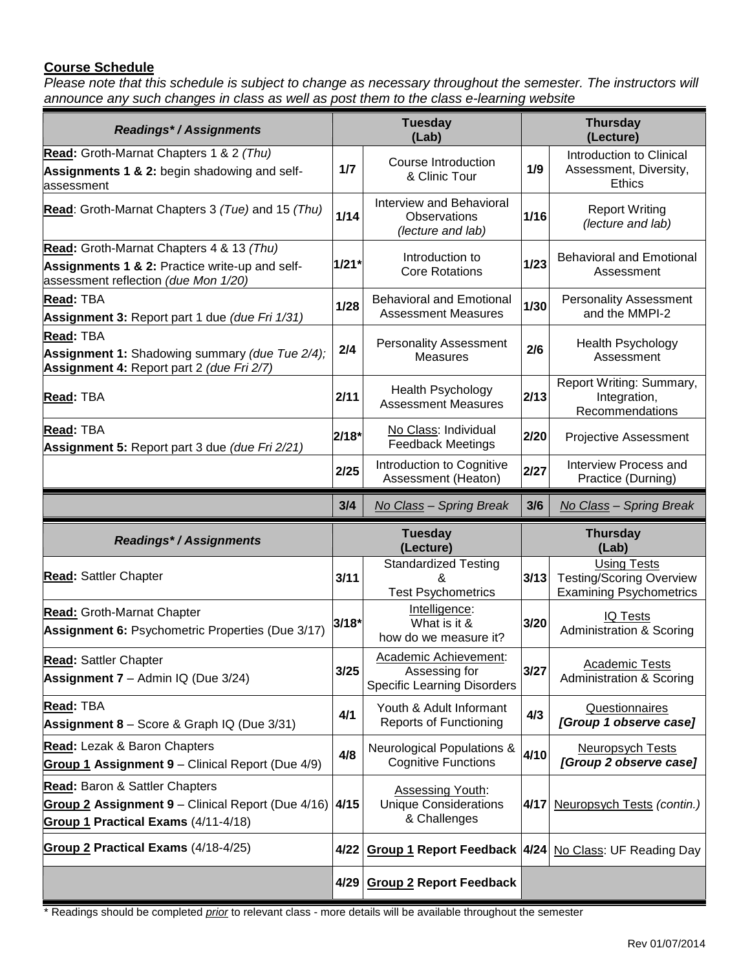## **Course Schedule**

Please note that this schedule is subject to change as necessary throughout the semester. The instructors will *announce any such changes in class as well as post them to the class e-learning website*

| <b>Readings*/Assignments</b>                                                                                                       | <b>Tuesday</b><br>(Lab) |                                                                              |                          | <b>Thursday</b><br>(Lecture)                                                            |  |  |  |
|------------------------------------------------------------------------------------------------------------------------------------|-------------------------|------------------------------------------------------------------------------|--------------------------|-----------------------------------------------------------------------------------------|--|--|--|
| Read: Groth-Marnat Chapters 1 & 2 (Thu)<br>Assignments 1 & 2: begin shadowing and self-<br>assessment                              | 1/7                     | Course Introduction<br>& Clinic Tour                                         | 1/9                      | Introduction to Clinical<br>Assessment, Diversity,<br><b>Ethics</b>                     |  |  |  |
| Read: Groth-Marnat Chapters 3 (Tue) and 15 (Thu)                                                                                   | 1/14                    | Interview and Behavioral<br>Observations<br>(lecture and lab)                | 1/16                     | <b>Report Writing</b><br>(lecture and lab)                                              |  |  |  |
| Read: Groth-Marnat Chapters 4 & 13 (Thu)<br>Assignments 1 & 2: Practice write-up and self-<br>assessment reflection (due Mon 1/20) | $1/21*$                 | Introduction to<br><b>Core Rotations</b>                                     | 1/23                     | <b>Behavioral and Emotional</b><br>Assessment                                           |  |  |  |
| <b>Read: TBA</b><br><b>Assignment 3: Report part 1 due (due Fri 1/31)</b>                                                          | 1/28                    | <b>Behavioral and Emotional</b><br><b>Assessment Measures</b>                | 1/30                     | <b>Personality Assessment</b><br>and the MMPI-2                                         |  |  |  |
| Read: TBA<br>Assignment 1: Shadowing summary (due Tue 2/4);<br>Assignment 4: Report part 2 (due Fri 2/7)                           | 2/4                     | <b>Personality Assessment</b><br><b>Measures</b>                             | 2/6                      | Health Psychology<br>Assessment                                                         |  |  |  |
| Read: TBA                                                                                                                          | 2/11                    | Health Psychology<br><b>Assessment Measures</b>                              | 2/13                     | Report Writing: Summary,<br>Integration,<br>Recommendations                             |  |  |  |
| Read: TBA<br>$2/18*$<br>Assignment 5: Report part 3 due (due Fri 2/21)                                                             |                         | No Class: Individual<br><b>Feedback Meetings</b>                             | 2/20                     | Projective Assessment                                                                   |  |  |  |
|                                                                                                                                    | 2/25                    | Introduction to Cognitive<br>Assessment (Heaton)                             | 2/27                     | Interview Process and<br>Practice (Durning)                                             |  |  |  |
|                                                                                                                                    | 3/4                     | No Class - Spring Break                                                      | 3/6                      | No Class - Spring Break                                                                 |  |  |  |
| <b>Readings*/Assignments</b>                                                                                                       |                         | <b>Tuesday</b><br>(Lecture)                                                  | <b>Thursday</b><br>(Lab) |                                                                                         |  |  |  |
| <b>Read: Sattler Chapter</b>                                                                                                       | 3/11                    | <b>Standardized Testing</b><br>&<br><b>Test Psychometrics</b>                | 3/13                     | <b>Using Tests</b><br><b>Testing/Scoring Overview</b><br><b>Examining Psychometrics</b> |  |  |  |
| <b>Read: Groth-Marnat Chapter</b><br>Assignment 6: Psychometric Properties (Due 3/17)                                              | $3/18*$                 | Intelligence:<br>What is it &<br>how do we measure it?                       | 3/20                     | <b>IQ Tests</b><br><b>Administration &amp; Scoring</b>                                  |  |  |  |
| <b>Read: Sattler Chapter</b><br>Assignment 7 - Admin IQ (Due 3/24)                                                                 | 3/25                    | Academic Achievement:<br>Assessing for<br><b>Specific Learning Disorders</b> | $3/27$                   | <b>Academic Tests</b><br><b>Administration &amp; Scoring</b>                            |  |  |  |
| Read: TBA<br><b>Assignment 8</b> – Score & Graph IQ (Due $3/31$ )                                                                  | 4/1                     | Youth & Adult Informant<br><b>Reports of Functioning</b>                     | 4/3                      | Questionnaires<br>[Group 1 observe case]                                                |  |  |  |
| <b>Read:</b> Lezak & Baron Chapters<br><b>Group 1 Assignment 9 – Clinical Report (Due 4/9)</b>                                     | 4/8                     | <b>Neurological Populations &amp;</b><br><b>Cognitive Functions</b>          | 4/10                     | <b>Neuropsych Tests</b><br>[Group 2 observe case]                                       |  |  |  |
| <b>Read:</b> Baron & Sattler Chapters<br>Group 2 Assignment 9 - Clinical Report (Due 4/16)                                         | 4/15                    | <b>Assessing Youth:</b><br><b>Unique Considerations</b>                      |                          | 4/17 Neuropsych Tests (contin.)                                                         |  |  |  |
| Group 1 Practical Exams (4/11-4/18)                                                                                                |                         | & Challenges                                                                 |                          |                                                                                         |  |  |  |
| Group 2 Practical Exams (4/18-4/25)                                                                                                | 4/22                    | <b>Group 1 Report Feedback 4/24 No Class: UF Reading Day</b>                 |                          |                                                                                         |  |  |  |

\* Readings should be completed *prior* to relevant class - more details will be available throughout the semester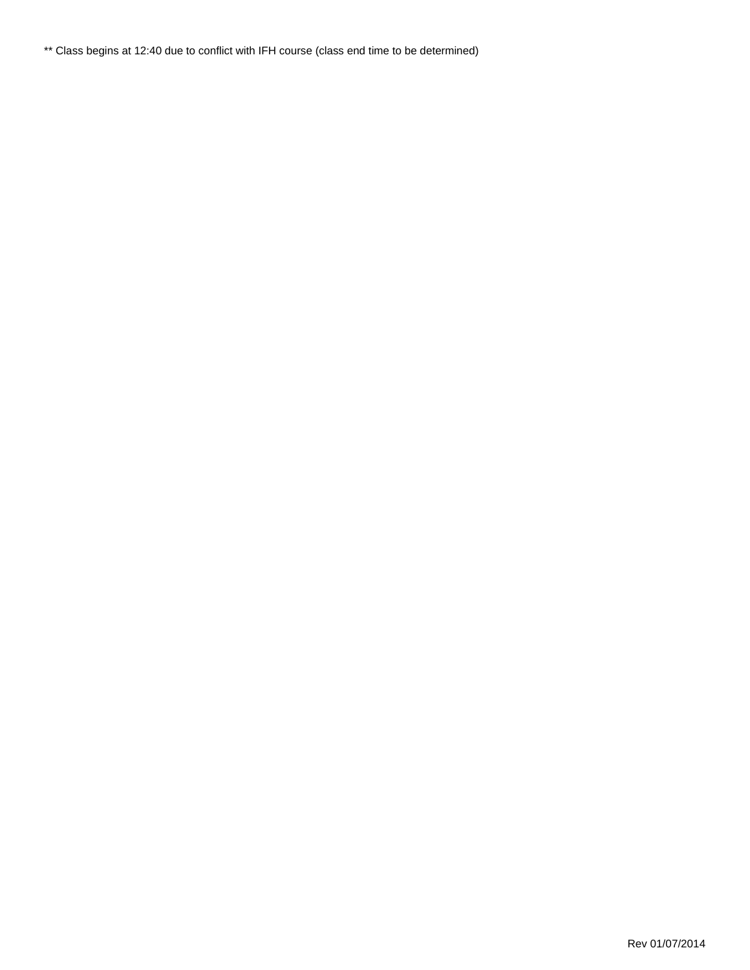\*\* Class begins at 12:40 due to conflict with IFH course (class end time to be determined)